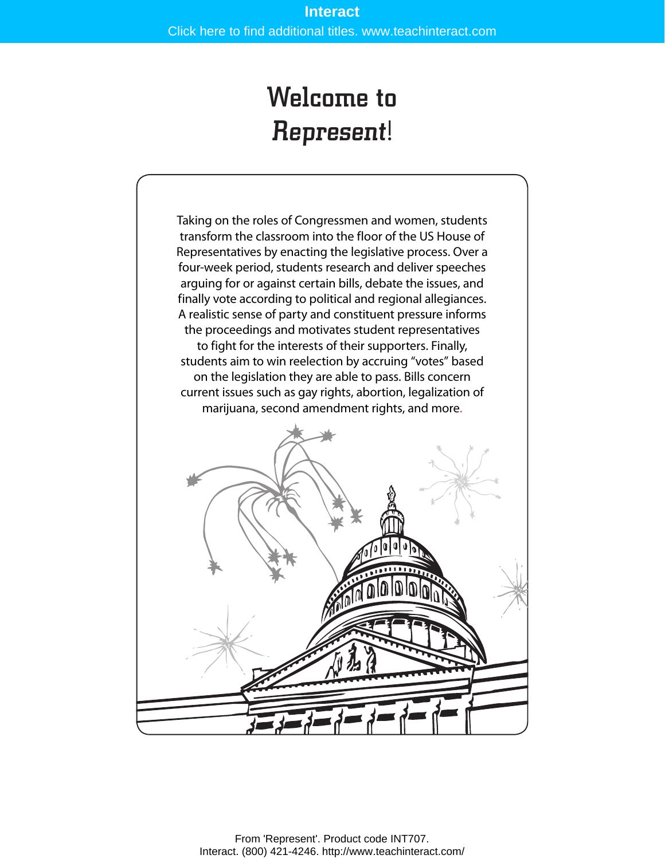# Welcome to Represent!

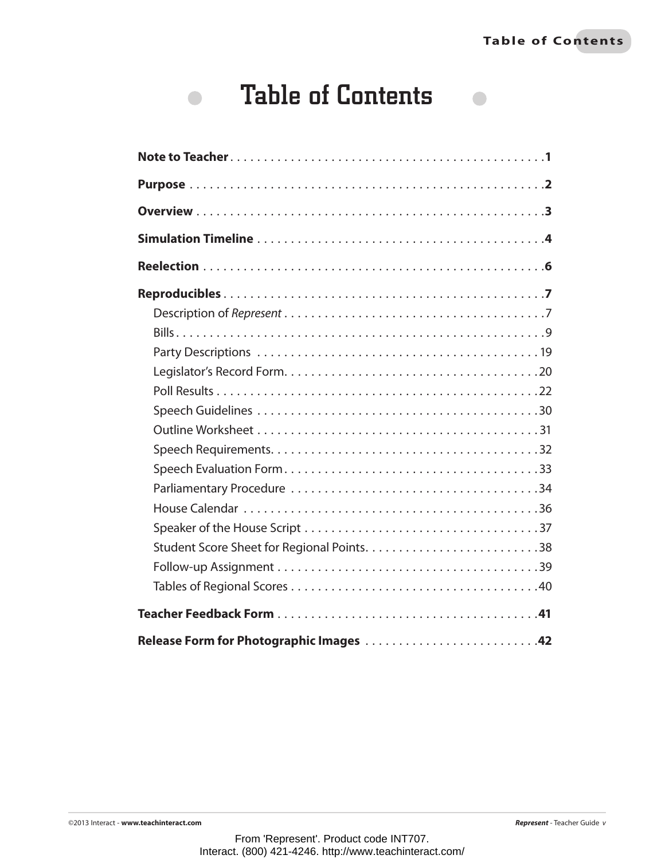$\Box$ 

# Table of Contents

 $\bullet$ 

| Release Form for Photographic Images 42 |
|-----------------------------------------|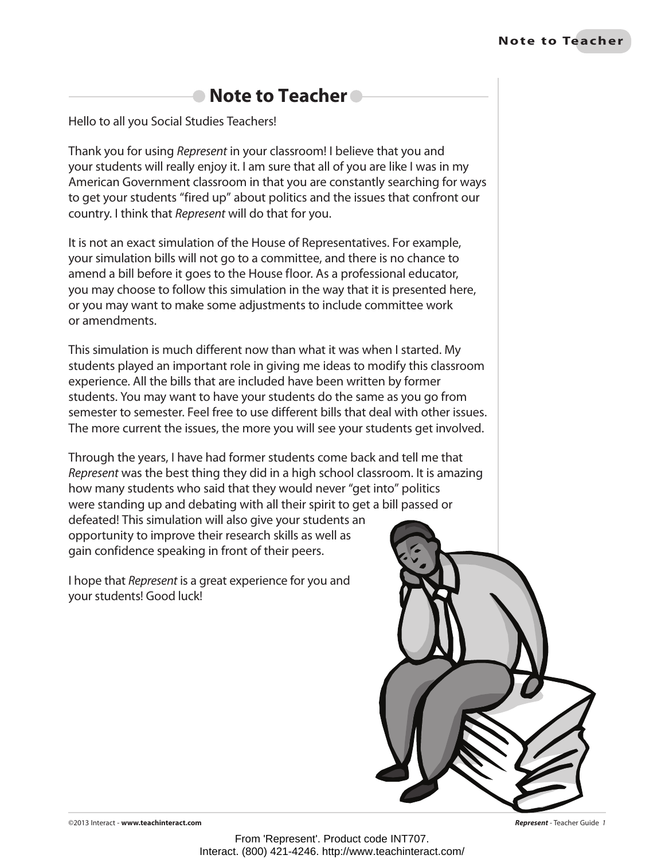## ● Note to Teacher<sup>®</sup>

Hello to all you Social Studies Teachers!

Thank you for using *Represent* in your classroom! I believe that you and your students will really enjoy it. I am sure that all of you are like I was in my American Government classroom in that you are constantly searching for ways to get your students "fired up" about politics and the issues that confront our country. I think that *Represent* will do that for you.

It is not an exact simulation of the House of Representatives. For example, your simulation bills will not go to a committee, and there is no chance to amend a bill before it goes to the House floor. As a professional educator, you may choose to follow this simulation in the way that it is presented here, or you may want to make some adjustments to include committee work or amendments.

This simulation is much different now than what it was when I started. My students played an important role in giving me ideas to modify this classroom experience. All the bills that are included have been written by former students. You may want to have your students do the same as you go from semester to semester. Feel free to use different bills that deal with other issues. The more current the issues, the more you will see your students get involved.

Through the years, I have had former students come back and tell me that *Represent* was the best thing they did in a high school classroom. It is amazing how many students who said that they would never "get into" politics were standing up and debating with all their spirit to get a bill passed or defeated! This simulation will also give your students an

opportunity to improve their research skills as well as gain confidence speaking in front of their peers.

I hope that *Represent* is a great experience for you and your students! Good luck!



©2013 Interact - **www.teachinteract.com** *Represent* - Teacher Guide *1*

From 'Represent'. Product code INT707. Interact. (800) 421-4246. http://www.teachinteract.com/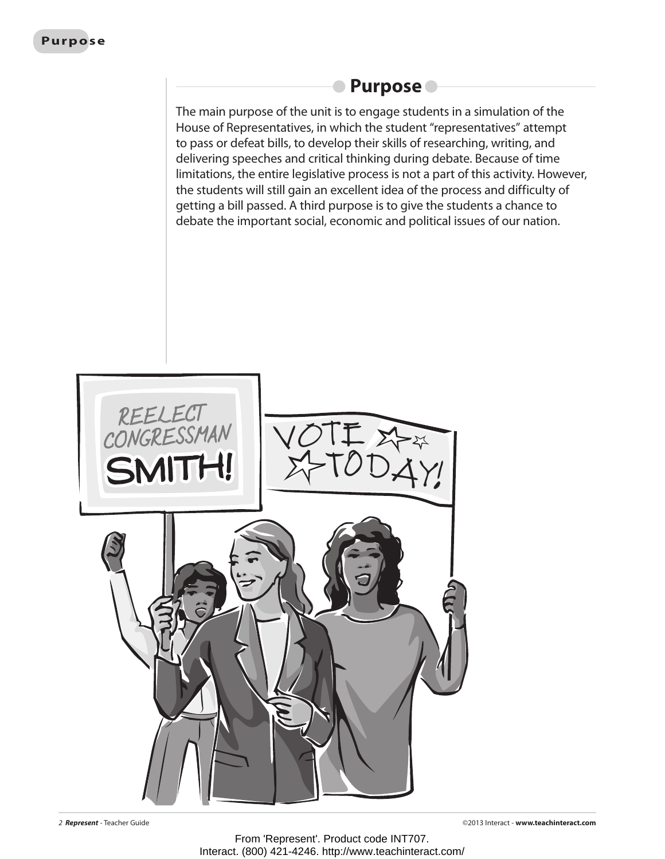### **Purpose**

The main purpose of the unit is to engage students in a simulation of the House of Representatives, in which the student "representatives" attempt to pass or defeat bills, to develop their skills of researching, writing, and delivering speeches and critical thinking during debate. Because of time limitations, the entire legislative process is not a part of this activity. However, the students will still gain an excellent idea of the process and difficulty of getting a bill passed. A third purpose is to give the students a chance to debate the important social, economic and political issues of our nation.

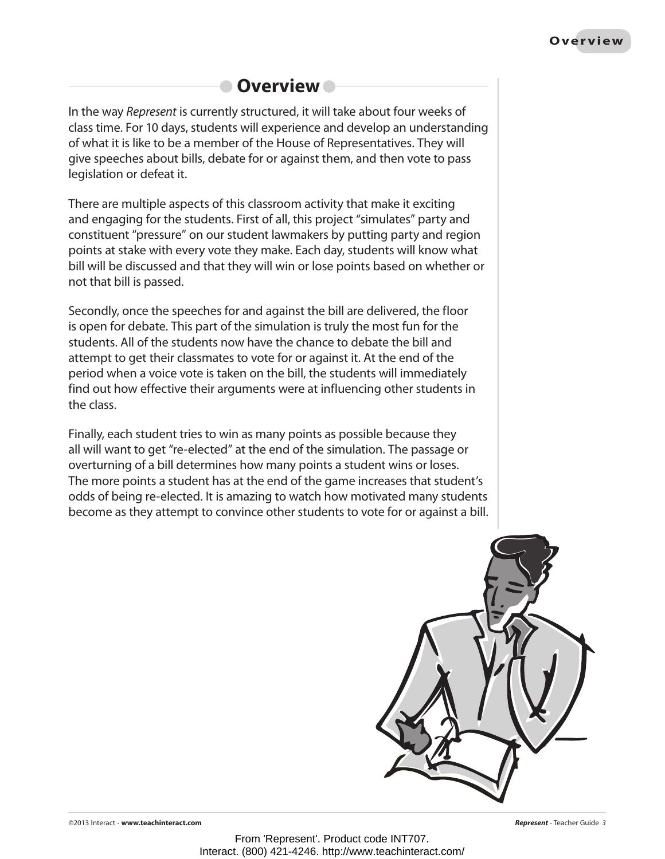## **Overview**

In the way *Represent* is currently structured, it will take about four weeks of class time. For 10 days, students will experience and develop an understanding of what it is like to be a member of the House of Representatives. They will give speeches about bills, debate for or against them, and then vote to pass legislation or defeat it.

There are multiple aspects of this classroom activity that make it exciting and engaging for the students. First of all, this project "simulates" party and constituent "pressure" on our student lawmakers by putting party and region points at stake with every vote they make. Each day, students will know what bill will be discussed and that they will win or lose points based on whether or not that bill is passed.

Secondly, once the speeches for and against the bill are delivered, the floor is open for debate. This part of the simulation is truly the most fun for the students. All of the students now have the chance to debate the bill and attempt to get their classmates to vote for or against it. At the end of the period when a voice vote is taken on the bill, the students will immediately find out how effective their arguments were at influencing other students in the class.

Finally, each student tries to win as many points as possible because they all will want to get "re-elected" at the end of the simulation. The passage or overturning of a bill determines how many points a student wins or loses. The more points a student has at the end of the game increases that student's odds of being re-elected. It is amazing to watch how motivated many students become as they attempt to convince other students to vote for or against a bill.

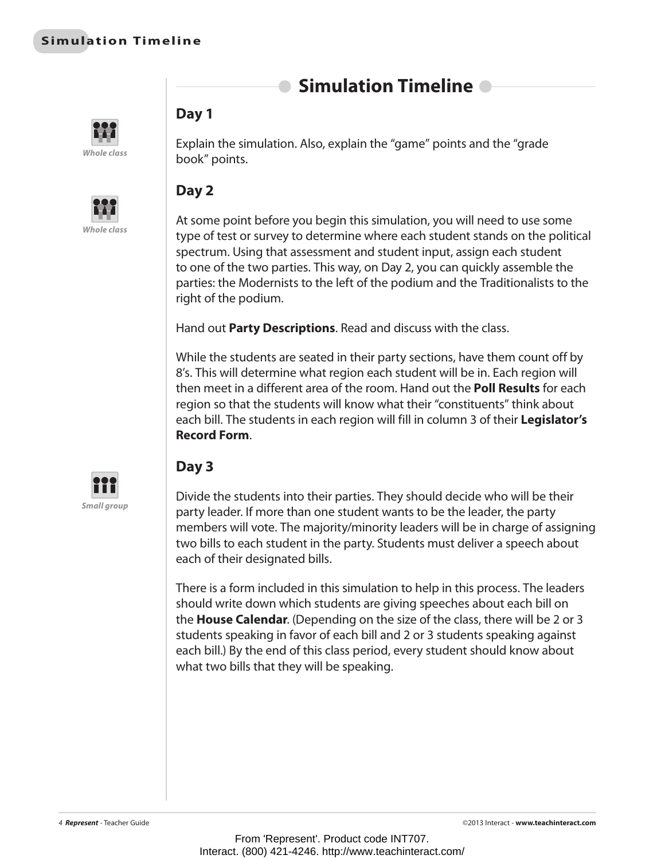## **Simulation Timeline**





#### **Day 1**

Explain the simulation. Also, explain the "game" points and the "grade book" points.

### **Day 2**

At some point before you begin this simulation, you will need to use some type of test or survey to determine where each student stands on the political spectrum. Using that assessment and student input, assign each student to one of the two parties. This way, on Day 2, you can quickly assemble the parties: the Modernists to the left of the podium and the Traditionalists to the right of the podium.

Hand out **Party Descriptions**. Read and discuss with the class.

While the students are seated in their party sections, have them count off by 8's. This will determine what region each student will be in. Each region will then meet in a different area of the room. Hand out the **Poll Results** for each region so that the students will know what their "constituents" think about each bill. The students in each region will fill in column 3 of their **Legislator's Record Form**.



### **Day 3**

Divide the students into their parties. They should decide who will be their party leader. If more than one student wants to be the leader, the party members will vote. The majority/minority leaders will be in charge of assigning two bills to each student in the party. Students must deliver a speech about each of their designated bills.

There is a form included in this simulation to help in this process. The leaders should write down which students are giving speeches about each bill on the **House Calendar**. (Depending on the size of the class, there will be 2 or 3 students speaking in favor of each bill and 2 or 3 students speaking against each bill.) By the end of this class period, every student should know about what two bills that they will be speaking.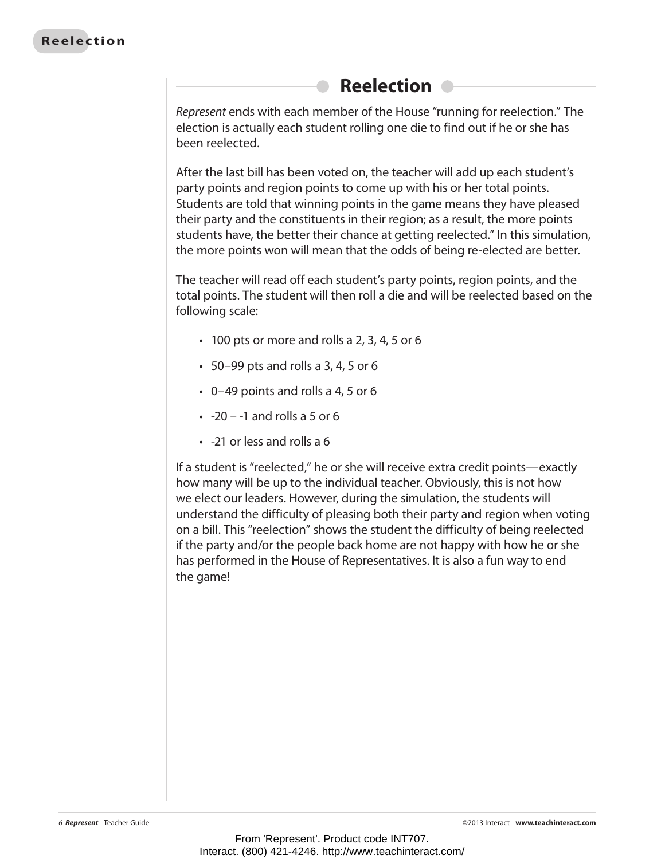## **Reelection**

*Represent* ends with each member of the House "running for reelection." The election is actually each student rolling one die to find out if he or she has been reelected.

After the last bill has been voted on, the teacher will add up each student's party points and region points to come up with his or her total points. Students are told that winning points in the game means they have pleased their party and the constituents in their region; as a result, the more points students have, the better their chance at getting reelected." In this simulation, the more points won will mean that the odds of being re-elected are better.

The teacher will read off each student's party points, region points, and the total points. The student will then roll a die and will be reelected based on the following scale:

- $\cdot$  100 pts or more and rolls a 2, 3, 4, 5 or 6
- $\cdot$  50–99 pts and rolls a 3, 4, 5 or 6
- $\cdot$  0–49 points and rolls a 4, 5 or 6
- $\cdot$  -20 -1 and rolls a 5 or 6
- -21 or less and rolls a 6

If a student is "reelected," he or she will receive extra credit points—exactly how many will be up to the individual teacher. Obviously, this is not how we elect our leaders. However, during the simulation, the students will understand the difficulty of pleasing both their party and region when voting on a bill. This "reelection" shows the student the difficulty of being reelected if the party and/or the people back home are not happy with how he or she has performed in the House of Representatives. It is also a fun way to end the game!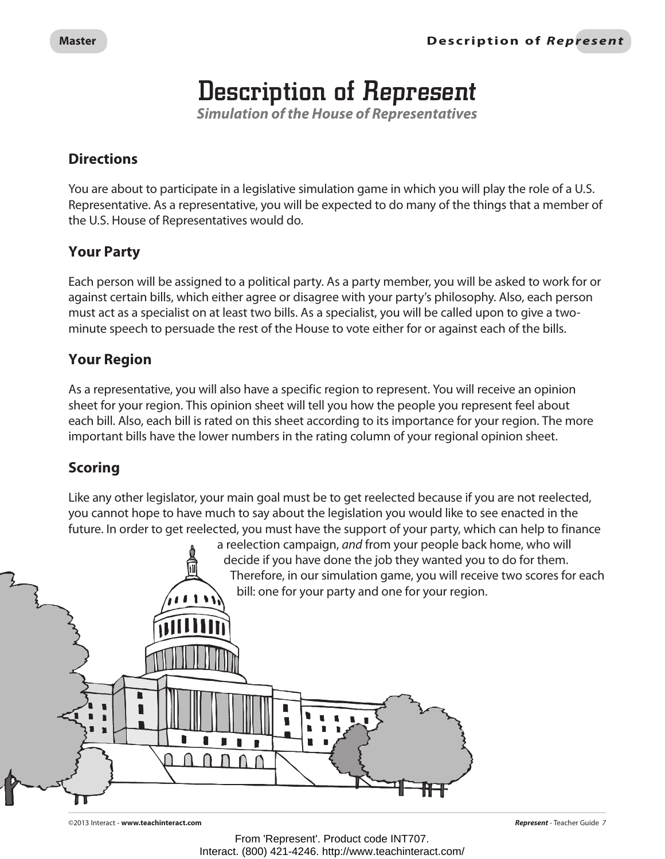## Description of Represent

*Simulation of the House of Representatives*

#### **Directions**

You are about to participate in a legislative simulation game in which you will play the role of a U.S. Representative. As a representative, you will be expected to do many of the things that a member of the U.S. House of Representatives would do.

#### **Your Party**

Each person will be assigned to a political party. As a party member, you will be asked to work for or against certain bills, which either agree or disagree with your party's philosophy. Also, each person must act as a specialist on at least two bills. As a specialist, you will be called upon to give a twominute speech to persuade the rest of the House to vote either for or against each of the bills.

#### **Your Region**

As a representative, you will also have a specific region to represent. You will receive an opinion sheet for your region. This opinion sheet will tell you how the people you represent feel about each bill. Also, each bill is rated on this sheet according to its importance for your region. The more important bills have the lower numbers in the rating column of your regional opinion sheet.

#### **Scoring**

Like any other legislator, your main goal must be to get reelected because if you are not reelected, you cannot hope to have much to say about the legislation you would like to see enacted in the future. In order to get reelected, you must have the support of your party, which can help to finance



©2013 Interact - **www.teachinteract.com** *Represent* - Teacher Guide *7*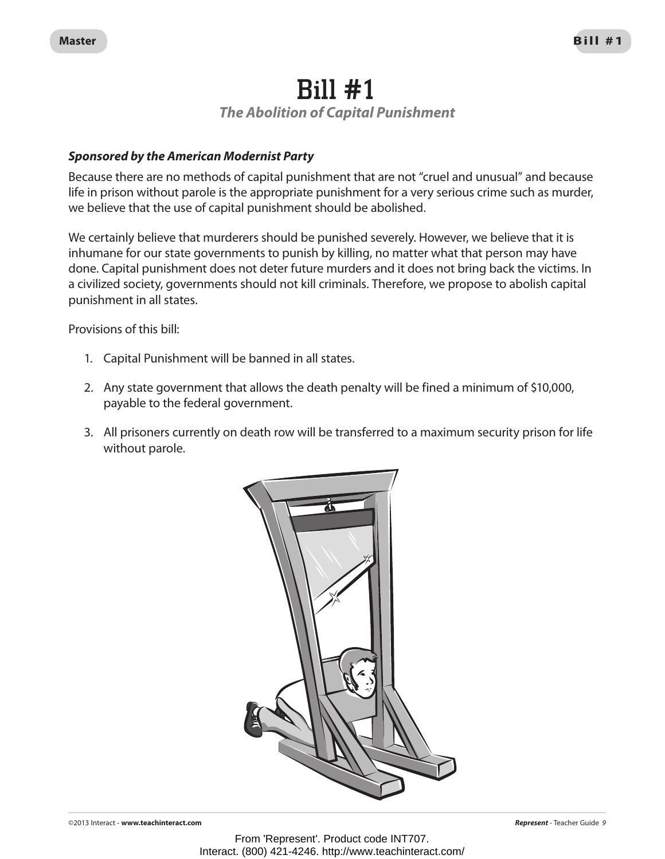## Bill #1 *The Abolition of Capital Punishment*

#### *Sponsored by the American Modernist Party*

Because there are no methods of capital punishment that are not "cruel and unusual" and because life in prison without parole is the appropriate punishment for a very serious crime such as murder, we believe that the use of capital punishment should be abolished.

We certainly believe that murderers should be punished severely. However, we believe that it is inhumane for our state governments to punish by killing, no matter what that person may have done. Capital punishment does not deter future murders and it does not bring back the victims. In a civilized society, governments should not kill criminals. Therefore, we propose to abolish capital punishment in all states.

Provisions of this bill:

- 1. Capital Punishment will be banned in all states.
- 2. Any state government that allows the death penalty will be fined a minimum of \$10,000, payable to the federal government.
- 3. All prisoners currently on death row will be transferred to a maximum security prison for life without parole.